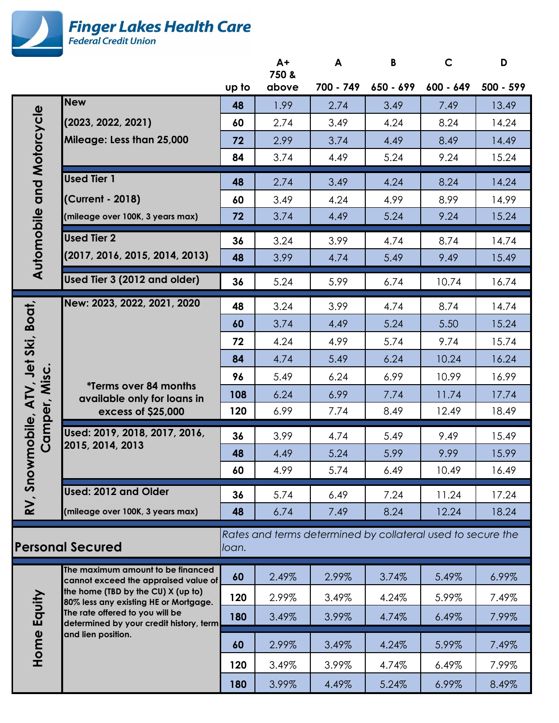

|                                                                                                 |                                                                             |       | $A+$<br>750 & | A         | B         | $\mathsf{C}$ | D         |
|-------------------------------------------------------------------------------------------------|-----------------------------------------------------------------------------|-------|---------------|-----------|-----------|--------------|-----------|
|                                                                                                 |                                                                             | up to | above         | 700 - 749 | 650 - 699 | 600 - 649    | 500 - 599 |
| and Motorcycle                                                                                  | <b>New</b>                                                                  | 48    | 1.99          | 2.74      | 3.49      | 7.49         | 13.49     |
|                                                                                                 | (2023, 2022, 2021)                                                          | 60    | 2.74          | 3.49      | 4.24      | 8.24         | 14.24     |
|                                                                                                 | Mileage: Less than 25,000                                                   | 72    | 2.99          | 3.74      | 4.49      | 8.49         | 14.49     |
|                                                                                                 |                                                                             | 84    | 3.74          | 4.49      | 5.24      | 9.24         | 15.24     |
|                                                                                                 | <b>Used Tier 1</b>                                                          | 48    | 2.74          | 3.49      | 4.24      | 8.24         | 14.24     |
|                                                                                                 | (Current - 2018)                                                            | 60    | 3.49          | 4.24      | 4.99      | 8.99         | 14.99     |
|                                                                                                 | (mileage over 100K, 3 years max)                                            | 72    | 3.74          | 4.49      | 5.24      | 9.24         | 15.24     |
| Automobile                                                                                      | <b>Used Tier 2</b>                                                          | 36    | 3.24          | 3.99      | 4.74      | 8.74         | 14.74     |
|                                                                                                 | (2017, 2016, 2015, 2014, 2013)                                              | 48    | 3.99          | 4.74      | 5.49      | 9.49         | 15.49     |
|                                                                                                 | Used Tier 3 (2012 and older)                                                | 36    | 5.24          | 5.99      | 6.74      | 10.74        | 16.74     |
|                                                                                                 | New: 2023, 2022, 2021, 2020                                                 | 48    | 3.24          | 3.99      | 4.74      | 8.74         | 14.74     |
|                                                                                                 |                                                                             | 60    | 3.74          | 4.49      | 5.24      | 5.50         | 15.24     |
|                                                                                                 |                                                                             | 72    | 4.24          | 4.99      | 5.74      | 9.74         | 15.74     |
|                                                                                                 |                                                                             | 84    | 4.74          | 5.49      | 6.24      | 10.24        | 16.24     |
| Misc.                                                                                           | <i><b>*Terms over 84 months</b></i>                                         | 96    | 5.49          | 6.24      | 6.99      | 10.99        | 16.99     |
| wmobile, ATV, Jet Ski, Boat,<br>Camper,                                                         | available only for loans in                                                 | 108   | 6.24          | 6.99      | 7.74      | 11.74        | 17.74     |
|                                                                                                 | excess of \$25,000                                                          | 120   | 6.99          | 7.74      | 8.49      | 12.49        | 18.49     |
|                                                                                                 | Used: 2019, 2018, 2017, 2016,                                               | 36    | 3.99          | 4.74      | 5.49      | 9.49         | 15.49     |
|                                                                                                 | 2015, 2014, 2013                                                            | 48    | 4.49          | 5.24      | 5.99      | 9.99         | 15.99     |
|                                                                                                 |                                                                             | 60    | 4.99          | 5.74      | 6.49      | 10.49        | 16.49     |
| RV, Sno                                                                                         | Used: 2012 and Older                                                        | 36    | 5.74          | 6.49      | 7.24      | 11.24        | 17.24     |
|                                                                                                 | (mileage over 100K, 3 years max)                                            | 48    | 6.74          | 7.49      | 8.24      | 12.24        | 18.24     |
| Rates and terms determined by collateral used to secure the<br><b>Personal Secured</b><br>loan. |                                                                             |       |               |           |           |              |           |
| Equity<br>Home                                                                                  | The maximum amount to be financed<br>cannot exceed the appraised value of   | 60    | 2.49%         | 2.99%     | 3.74%     | 5.49%        | 6.99%     |
|                                                                                                 | the home (TBD by the CU) X (up to)<br>80% less any existing HE or Mortgage. | 120   | 2.99%         | 3.49%     | 4.24%     | 5.99%        | 7.49%     |
|                                                                                                 | The rate offered to you will be<br>determined by your credit history, term  | 180   | 3.49%         | 3.99%     | 4.74%     | 6.49%        | 7.99%     |
|                                                                                                 | and lien position.                                                          | 60    | 2.99%         | 3.49%     | 4.24%     | 5.99%        | 7.49%     |
|                                                                                                 |                                                                             | 120   | 3.49%         | 3.99%     | 4.74%     | 6.49%        | 7.99%     |
|                                                                                                 |                                                                             | 180   | 3.99%         | 4.49%     | 5.24%     | 6.99%        | 8.49%     |